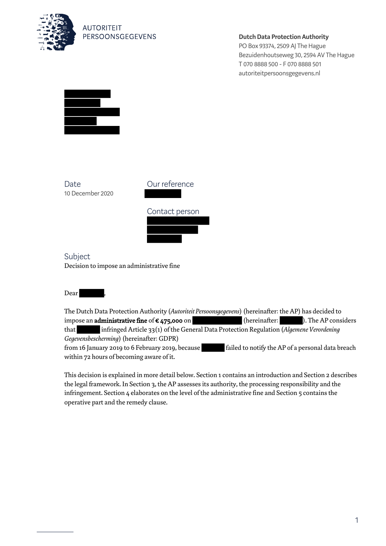

**AUTORITEIT** PERSOONSGEGEVENS

**Dutch Data Protection Authority**

PO Box 93374, 2509 AJ The Hague Bezuidenhoutseweg 30, 2594 AV The Hague T 070 8888 500 - F 070 8888 501 autoriteitpersoonsgegevens.nl



**Date** 10 December 2020



Subject Decision to impose an administrative fine

Dear

The Dutch Data Protection Authority (*Autoriteit Persoonsgegevens*) (hereinafter: the AP) has decided to impose an **administrative fine** of  $\epsilon$  475,000 on (hereinafter: ). The AP considers that infringed Article 33(1) of the General Data Protection Regulation (*Algemene Verordening Gegevensbescherming*) (hereinafter: GDPR) from 16 January 2019 to 6 February 2019, because failed to notify the AP of a personal data breach within 72 hours of becoming aware of it.

This decision is explained in more detail below. Section 1 contains an introduction and Section 2 describes the legal framework. In Section 3, the AP assesses its authority, the processing responsibility and the infringement. Section 4 elaborates on the level of the administrative fine and Section 5 contains the operative part and the remedy clause.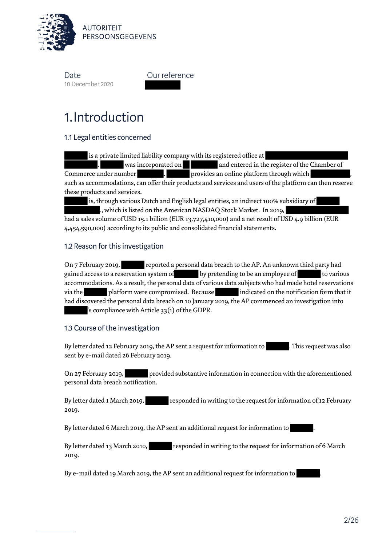

Our reference

# 1.Introduction

1.1 Legal entities concerned

 is a private limited liability company with its registered office at was incorporated on and entered in the register of the Chamber of Commerce under number **1976** . Provides an online platform through which such as accommodations, can offer their products and services and users of the platform can then reserve these products and services.

is, through various Dutch and English legal entities, an indirect 100% subsidiary of

., which is listed on the American NASDAQ Stock Market. In 2019, had a sales volume of USD 15.1 billion (EUR 13,727,410,000) and a net result of USD 4.9 billion (EUR 4,454,590,000) according to its public and consolidated financial statements.

# 1.2 Reason for this investigation

On 7 February 2019, reported a personal data breach to the AP. An unknown third party had gained access to a reservation system of by pretending to be an employee of to various accommodations. As a result, the personal data of various data subjects who had made hotel reservations via the platform were compromised. Because indicated on the notification form that it had discovered the personal data breach on 10 January 2019, the AP commenced an investigation into 's compliance with Article 33(1) of the GDPR.

## 1.3 Course of the investigation

By letter dated 12 February 2019, the AP sent a request for information to . This request was also sent by e-mail dated 26 February 2019.

On 27 February 2019, provided substantive information in connection with the aforementioned personal data breach notification.

By letter dated 1 March 2019, responded in writing to the request for information of 12 February 2019.

By letter dated 6 March 2019, the AP sent an additional request for information to .

By letter dated 13 March 2010, responded in writing to the request for information of 6 March 2019.

By e-mail dated 19 March 2019, the AP sent an additional request for information to .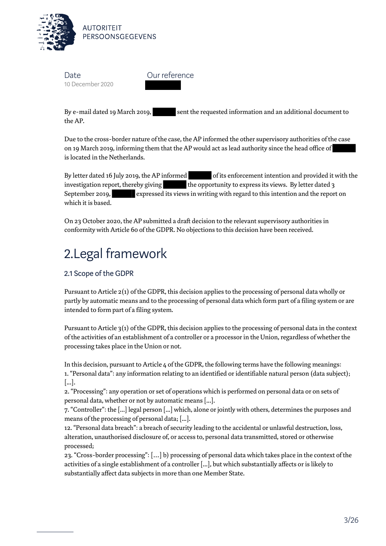

Our reference

By e-mail dated 19 March 2019, sent the requested information and an additional document to the AP.

Due to the cross-border nature of the case, the AP informed the other supervisory authorities of the case on 19 March 2019, informing them that the AP would act as lead authority since the head office of is located in the Netherlands.

By letter dated 16 July 2019, the AP informed of its enforcement intention and provided it with the investigation report, thereby giving the opportunity to express its views. By letter dated 3 September 2019, expressed its views in writing with regard to this intention and the report on which it is based.

On 23 October 2020, the AP submitted a draft decision to the relevant supervisory authorities in conformity with Article 60 of the GDPR. No objections to this decision have been received.

# 2.Legal framework

# 2.1 Scope of the GDPR

Pursuant to Article 2(1) of the GDPR, this decision applies to the processing of personal data wholly or partly by automatic means and to the processing of personal data which form part of a filing system or are intended to form part of a filing system.

Pursuant to Article 3(1) of the GDPR, this decision applies to the processing of personal data in the context of the activities of an establishment of a controller or a processor in the Union, regardless of whether the processing takes place in the Union or not.

In this decision, pursuant to Article 4 of the GDPR, the following terms have the following meanings: 1. "Personal data": any information relating to an identified or identifiable natural person (data subject); [...].

2. "Processing": any operation or set of operations which is performed on personal data or on sets of personal data, whether or not by automatic means [...].

7. "Controller": the [...] legal person [...] which, alone or jointly with others, determines the purposes and means of the processing of personal data; [...].

12. "Personal data breach": a breach of security leading to the accidental or unlawful destruction, loss, alteration, unauthorised disclosure of, or access to, personal data transmitted, stored or otherwise processed;

23. "Cross-border processing": […] b) processing of personal data which takes place in the context of the activities of a single establishment of a controller [...], but which substantially affects or is likely to substantially affect data subjects in more than one Member State.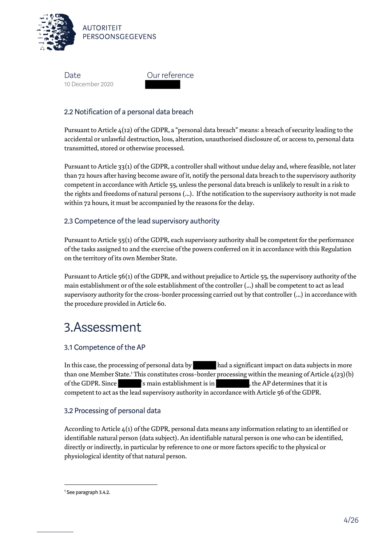

Our reference

# 2.2 Notification of a personal data breach

Pursuant to Article 4(12) of the GDPR, a "personal data breach" means: a breach of security leading to the accidental or unlawful destruction, loss, alteration, unauthorised disclosure of, or access to, personal data transmitted, stored or otherwise processed.

Pursuant to Article 33(1) of the GDPR, a controller shall without undue delay and, where feasible, not later than 72 hours after having become aware of it, notify the personal data breach to the supervisory authority competent in accordance with Article 55, unless the personal data breach is unlikely to result in a risk to the rights and freedoms of natural persons (...). If the notification to the supervisory authority is not made within 72 hours, it must be accompanied by the reasons for the delay.

# 2.3 Competence of the lead supervisory authority

Pursuant to Article 55(1) of the GDPR, each supervisory authority shall be competent for the performance of the tasks assigned to and the exercise of the powers conferred on it in accordance with this Regulation on the territory of its own Member State.

Pursuant to Article 56(1) of the GDPR, and without prejudice to Article 55, the supervisory authority of the main establishment or of the sole establishment of the controller (...) shall be competent to act as lead supervisory authority for the cross-border processing carried out by that controller (...) in accordance with the procedure provided in Article 60.

# 3.Assessment

## 3.1 Competence of the AP

In this case, the processing of personal data by had a significant impact on data subjects in more than one Member State.<sup>1</sup> This constitutes cross-border processing within the meaning of Article  $4(23)(b)$ of the GDPR. Since 's main establishment is in , the AP determines that it is competent to act as the lead supervisory authority in accordance with Article 56 of the GDPR.

## 3.2 Processing of personal data

According to Article 4(1) of the GDPR, personal data means any information relating to an identified or identifiable natural person (data subject). An identifiable natural person is one who can be identified, directly or indirectly, in particular by reference to one or more factors specific to the physical or physiological identity of that natural person.

 $\overline{\phantom{0}}$ 

<sup>1</sup> See paragraph 3.4.2.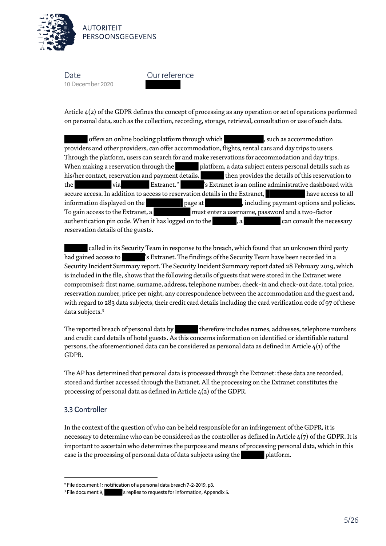

Our reference

Article 4(2) of the GDPR defines the concept of processing as any operation or set of operations performed on personal data, such as the collection, recording, storage, retrieval, consultation or use of such data.

offers an online booking platform through which , such as accommodation providers and other providers, can offer accommodation, flights, rental cars and day trips to users. Through the platform, users can search for and make reservations for accommodation and day trips. When making a reservation through the platform, a data subject enters personal details such as his/her contact, reservation and payment details. then provides the details of this reservation to the via Extranet.<sup>2</sup> 's Extranet is an online administrative dashboard with secure access. In addition to access to reservation details in the Extranet, have access to all information displayed on the page at , including payment options and policies. To gain access to the Extranet, a must enter a username, password and a two-factor authentication pin code. When it has logged on to the , a can consult the necessary reservation details of the guests.

 called in its Security Team in response to the breach, which found that an unknown third party had gained access to 's Extranet. The findings of the Security Team have been recorded in a Security Incident Summary report. The Security Incident Summary report dated 28 February 2019, which is included in the file, shows that the following details of guests that were stored in the Extranet were compromised: first name, surname, address, telephone number, check-in and check-out date, total price, reservation number, price per night, any correspondence between the accommodation and the guest and, with regard to 283 data subjects, their credit card details including the card verification code of 97 of these data subjects.<sup>3</sup>

The reported breach of personal data by therefore includes names, addresses, telephone numbers and credit card details of hotel guests. As this concerns information on identified or identifiable natural persons, the aforementioned data can be considered as personal data as defined in Article  $4(1)$  of the GDPR.

The AP has determined that personal data is processed through the Extranet: these data are recorded, stored and further accessed through the Extranet. All the processing on the Extranet constitutes the processing of personal data as defined in Article 4(2) of the GDPR.

## 3.3 Controller

l

In the context of the question of who can be held responsible for an infringement of the GDPR, it is necessary to determine who can be considered as the controller as defined in Article 4(7) of the GDPR. It is important to ascertain who determines the purpose and means of processing personal data, which in this case is the processing of personal data of data subjects using the platform.

<sup>2</sup> File document 1: notification of a personal data breach 7-2-2019, p3.

<sup>&</sup>lt;sup>3</sup> File document 9, steplies to requests for information, Appendix 5.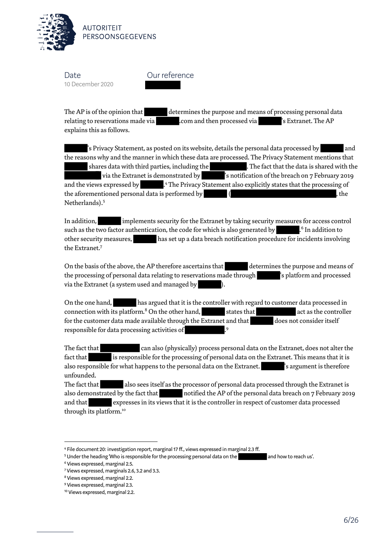

Our reference

The AP is of the opinion that determines the purpose and means of processing personal data relating to reservations made via .com and then processed via 's Extranet. The AP explains this as follows.

's Privacy Statement, as posted on its website, details the personal data processed by and the reasons why and the manner in which these data are processed. The Privacy Statement mentions that shares data with third parties, including the . The fact that the data is shared with the via the Extranet is demonstrated by 's notification of the breach on 7 February 2019 and the views expressed by .<sup>4</sup> The Privacy Statement also explicitly states that the processing of the aforementioned personal data is performed by  $\qquad \qquad (\qquad$ Netherlands).<sup>5</sup>

In addition, implements security for the Extranet by taking security measures for access control such as the two factor authentication, the code for which is also generated by .<sup>6</sup> In addition to other security measures, has set up a data breach notification procedure for incidents involving the Extranet.<sup>7</sup>

On the basis of the above, the AP therefore ascertains that determines the purpose and means of the processing of personal data relating to reservations made through least left is platform and processed via the Extranet (a system used and managed by ).

On the one hand, has argued that it is the controller with regard to customer data processed in connection with its platform. $8$  On the other hand,  $\qquad \qquad$  states that  $\qquad \qquad$  act as the controller for the customer data made available through the Extranet and that does not consider itself responsible for data processing activities of

The fact that can also (physically) process personal data on the Extranet, does not alter the fact that is responsible for the processing of personal data on the Extranet. This means that it is also responsible for what happens to the personal data on the Extranet. Surfament is therefore unfounded.

The fact that also sees itself as the processor of personal data processed through the Extranet is also demonstrated by the fact that notified the AP of the personal data breach on 7 February 2019 and that expresses in its views that it is the controller in respect of customer data processed through its platform.<sup>10</sup>

<sup>4</sup> File document 20: investigation report, marginal 17 ff., views expressed in marginal 2.3 ff.

<sup>&</sup>lt;sup>5</sup> Under the heading 'Who is responsible for the processing personal data on the and how to reach us'.

<sup>6</sup> Views expressed, marginal 2.5.

<sup>7</sup> Views expressed, marginals 2.6, 3.2 and 3.3.

<sup>8</sup> Views expressed, marginal 2.2.

<sup>9</sup> Views expressed, marginal 2.3.

<sup>10</sup> Views expressed, marginal 2.2.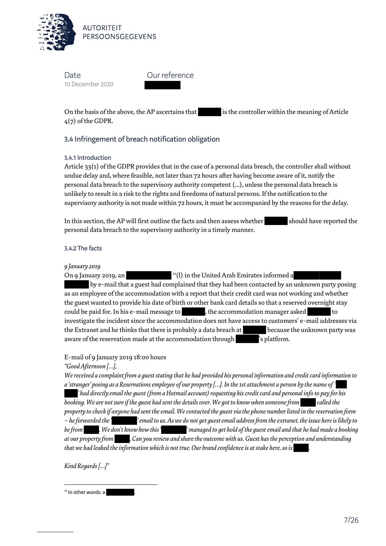

Our reference

On the basis of the above, the AP ascertains that is the controller within the meaning of Article 4(7) of the GDPR.

# 3.4 Infringement of breach notification obligation

#### 3.4.1 Introduction

Article 33(1) of the GDPR provides that in the case of a personal data breach, the controller shall without undue delay and, where feasible, not later than 72 hours after having become aware of it, notify the personal data breach to the supervisory authority competent (...), unless the personal data breach is unlikely to result in a risk to the rights and freedoms of natural persons. If the notification to the supervisory authority is not made within 72 hours, it must be accompanied by the reasons for the delay.

In this section, the AP will first outline the facts and then assess whether should have reported the personal data breach to the supervisory authority in a timely manner.

#### 3.4.2 The facts

#### *9 January 2019*

On 9 January 2019, an  $11(I)$  in the United Arab Emirates informed a by e-mail that a guest had complained that they had been contacted by an unknown party posing as an employee of the accommodation with a report that their credit card was not working and whether the guest wanted to provide his date of birth or other bank card details so that a reserved overnight stay could be paid for. In his e-mail message to , the accommodation manager asked investigate the incident since the accommodation does not have access to customers' e-mail addresses via the Extranet and he thinks that there is probably a data breach at because the unknown party was aware of the reservation made at the accommodation through values is platform.

E-mail of 9 January 2019 18:00 hours

#### *"Good Afternoon […],*

*We received a complaint from a guest stating that he had provided his personal information and credit card information to a 'stranger' posing as a Reservations employee of our property […]. In the 1st attachment a person by the name of ' ' had directly email the guest (from a Hotmail account) requesting his credit card and personal info to pay for his booking. We are not sure if the guest had sent the details over. We got to know when someone from called the property to check if anyone had sent the email. We contacted the guest via the phone number listed in the reservation form – he forwarded the ' ' email to us. As we do not get guest email address from the extranet, the issue here is likely to be from . We don't know how this ' ' managed to get hold of the guest email and that he had made a booking at our property from . Can you review and share the outcome with us. Guest has the perception and understanding that we had leaked the information which is not true. Our brand confidence is at stake here, so is .*

*Kind Regards […]"*

<sup>11</sup> In other words: a

 $\overline{\phantom{0}}$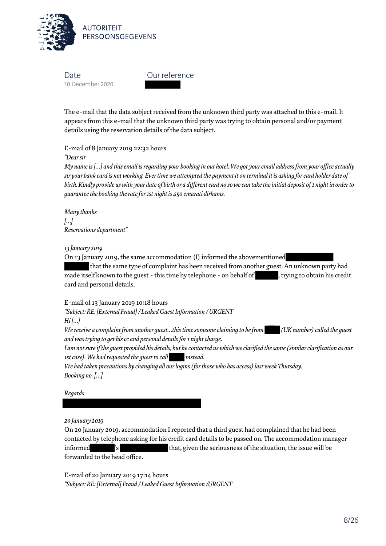

Our reference

The e-mail that the data subject received from the unknown third party was attached to this e-mail. It appears from this e-mail that the unknown third party was trying to obtain personal and/or payment details using the reservation details of the data subject.

E-mail of 8 January 2019 22:32 hours

*"Dear sir*

*My name is […] and this email is regarding your booking in out hotel. We got your email address from your office actually sir your bank card is not working. Ever time we attempted the payment it on terminal it is asking for card holder date of birth. Kindly provide us with your date of birth or a different card no so we can take the initial deposit of 1 night in order to guarantee the booking the rate for 1st night is 450 emarati dirhams.*

*Many thanks […] Reservations department"*

#### *13 January 2019*

On 13 January 2019, the same accommodation (I) informed the abovementioned

 that the same type of complaint has been received from another guest. An unknown party had made itself known to the guest - this time by telephone - on behalf of , trying to obtain his credit card and personal details.

E-mail of 13 January 2019 10:18 hours

*"Subject: RE: [External Fraud] / Leaked Guest Information / URGENT Hi […] We receive a complaint from another guest…this time someone claiming to be from (UK number) called the guest and was trying to get his cc and personal details for 1 night charge.* 

*I am not sure if the guest provided his details, but he contacted us which we clarified the same (similar clarification as our 1st case). We had requested the guest to call instead.*

*We had taken precautions by changing all our logins (for those who has access) last week Thursday. Booking no. […]*

*Regards*

*20 January 2019*

On 20 January 2019, accommodation I reported that a third guest had complained that he had been contacted by telephone asking for his credit card details to be passed on. The accommodation manager informed 's that, given the seriousness of the situation, the issue will be forwarded to the head office.

E-mail of 20 January 2019 17:14 hours *"Subject: RE: [External] Fraud / Leaked Guest Information /URGENT*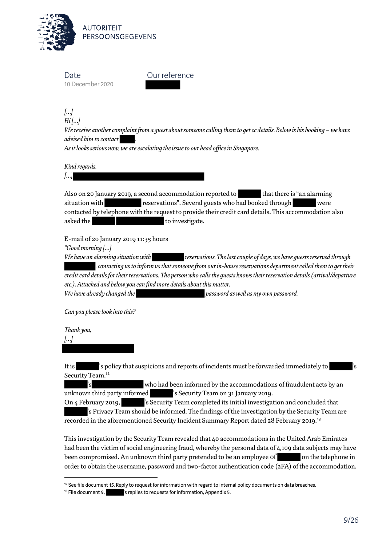

**AUTORITEIT** PERSOONSGEGEVENS

**Date** 10 December 2020

Our reference

*[…] Hi […]*

*We receive another complaint from a guest about someone calling them to get cc details. Below is his booking – we have advised him to contact .*

*As it looks serious now, we are escalating the issue to our head office in Singapore.*

*Kind regards,*

*[…]*

Also on 20 January 2019, a second accommodation reported to that there is "an alarming situation with reservations". Several guests who had booked through were contacted by telephone with the request to provide their credit card details. This accommodation also asked the to investigate.

E-mail of 20 January 2019 11:35 hours

*"Good morning […]*

*We have an alarming situation with reservations. The last couple of days, we have guests reserved through , contacting us to inform us that someone from our in-house reservations department called them to get their credit card details for their reservations. The person who calls the guests knows their reservation details (arrival/departure etc.). Attached and below you can find more details about this matter.*

*We have already changed the password as well as my own password.*

*Can you please look into this?*

*Thank you, […]* 

l

It is 's policy that suspicions and reports of incidents must be forwarded immediately to Security Team.<sup>12</sup>

's who had been informed by the accommodations of fraudulent acts by an unknown third party informed solid is Security Team on 31 January 2019.

On 4 February 2019, Security Team completed its initial investigation and concluded that 's Privacy Team should be informed. The findings of the investigation by the Security Team are

recorded in the aforementioned Security Incident Summary Report dated 28 February 2019.<sup>13</sup>

This investigation by the Security Team revealed that 40 accommodations in the United Arab Emirates had been the victim of social engineering fraud, whereby the personal data of 4,109 data subjects may have been compromised. An unknown third party pretended to be an employee of on the telephone in order to obtain the username, password and two-factor authentication code (2FA) of the accommodation.

<sup>12</sup> See file document 15, Reply to request for information with regard to internal policy documents on data breaches.

<sup>&</sup>lt;sup>13</sup> File document 9, **inco and is replies to requests for information**, Appendix 5.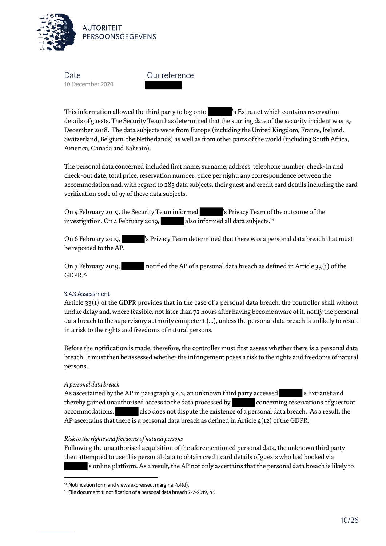

Our reference

This information allowed the third party to log onto 's Extranet which contains reservation details of guests. The Security Team has determined that the starting date of the security incident was 19 December 2018. The data subjects were from Europe (including the United Kingdom, France, Ireland, Switzerland, Belgium, the Netherlands) as well as from other parts of the world (including South Africa, America, Canada and Bahrain).

The personal data concerned included first name, surname, address, telephone number, check-in and check-out date, total price, reservation number, price per night, any correspondence between the accommodation and, with regard to 283 data subjects, their guest and credit card details including the card verification code of 97 of these data subjects.

On 4 February 2019, the Security Team informed 's Privacy Team of the outcome of the investigation. On 4 February 2019, also informed all data subjects.<sup>14</sup>

On 6 February 2019, 's Privacy Team determined that there was a personal data breach that must be reported to the AP.

On 7 February 2019, notified the AP of a personal data breach as defined in Article 33(1) of the GDPR.<sup>15</sup>

#### 3.4.3 Assessment

Article  $33(1)$  of the GDPR provides that in the case of a personal data breach, the controller shall without undue delay and, where feasible, not later than 72 hours after having become aware of it, notify the personal data breach to the supervisory authority competent (...), unless the personal data breach is unlikely to result in a risk to the rights and freedoms of natural persons.

Before the notification is made, therefore, the controller must first assess whether there is a personal data breach. It must then be assessed whether the infringement poses a risk to the rights and freedoms of natural persons.

#### *A personal data breach*

l

As ascertained by the AP in paragraph 3.4.2, an unknown third party accessed states is Extranet and thereby gained unauthorised access to the data processed by concerning reservations of guests at accommodations. also does not dispute the existence of a personal data breach. As a result, the AP ascertains that there is a personal data breach as defined in Article  $4(12)$  of the GDPR.

#### *Risk to the rights and freedoms of natural persons*

Following the unauthorised acquisition of the aforementioned personal data, the unknown third party then attempted to use this personal data to obtain credit card details of guests who had booked via 's online platform. As a result, the AP not only ascertains that the personal data breach is likely to

<sup>14</sup> Notification form and views expressed, marginal 4.4(d).

<sup>15</sup> File document 1: notification of a personal data breach 7-2-2019, p 5.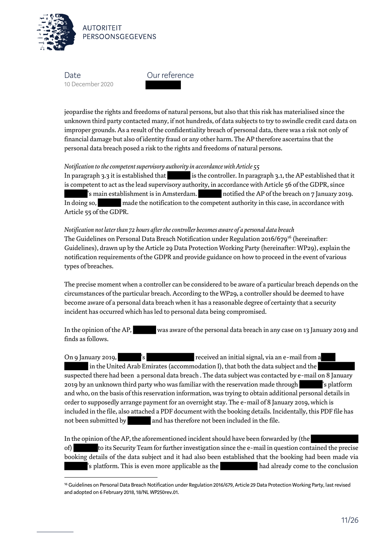

l

Our reference

jeopardise the rights and freedoms of natural persons, but also that this risk has materialised since the unknown third party contacted many, if not hundreds, of data subjects to try to swindle credit card data on improper grounds. As a result of the confidentiality breach of personal data, there was a risk not only of financial damage but also of identity fraud or any other harm. The AP therefore ascertains that the personal data breach posed a risk to the rights and freedoms of natural persons.

#### *Notification to the competent supervisory authority in accordance with Article 55*

In paragraph 3.3 it is established that is the controller. In paragraph 3.1, the AP established that it is competent to act as the lead supervisory authority, in accordance with Article 56 of the GDPR, since 's main establishment is in Amsterdam. notified the AP of the breach on 7 January 2019. In doing so, made the notification to the competent authority in this case, in accordance with Article 55 of the GDPR.

*Notification not later than 72 hours after the controller becomes aware of a personal data breach* The Guidelines on Personal Data Breach Notification under Regulation 2016/679<sup>16</sup> (hereinafter: Guidelines), drawn up by the Article 29 Data Protection Working Party (hereinafter: WP29), explain the notification requirements of the GDPR and provide guidance on how to proceed in the event of various types of breaches.

The precise moment when a controller can be considered to be aware of a particular breach depends on the circumstances of the particular breach. According to the WP29, a controller should be deemed to have become aware of a personal data breach when it has a reasonable degree of certainty that a security incident has occurred which has led to personal data being compromised.

In the opinion of the AP, was aware of the personal data breach in any case on 13 January 2019 and finds as follows.

On 9 January 2019, The State State of the received an initial signal, via an e-mail from a in the United Arab Emirates (accommodation I), that both the data subject and the suspected there had been a personal data breach . The data subject was contacted by e-mail on 8 January 2019 by an unknown third party who was familiar with the reservation made through 's platform and who, on the basis of this reservation information, was trying to obtain additional personal details in order to supposedly arrange payment for an overnight stay. The e-mail of 8 January 2019, which is included in the file, also attached a PDF document with the booking details. Incidentally, this PDF file has not been submitted by and has therefore not been included in the file.

In the opinion of the AP, the aforementioned incident should have been forwarded by (the of) to its Security Team for further investigation since the e-mail in question contained the precise booking details of the data subject and it had also been established that the booking had been made via 's platform. This is even more applicable as the had already come to the conclusion

<sup>16</sup> Guidelines on Personal Data Breach Notification under Regulation 2016/679, Article 29 Data Protection Working Party, last revised and adopted on 6 February 2018, 18/NL WP250rev.01.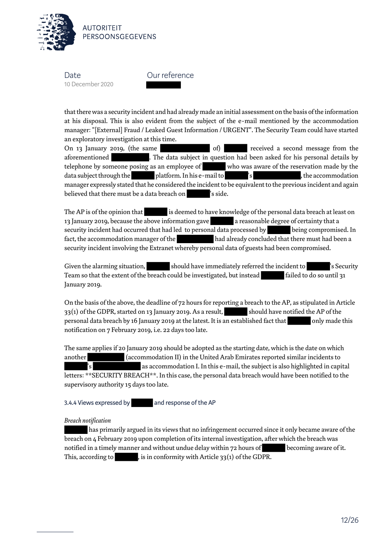

Our reference

that there was a security incident and had already made an initial assessment on the basis of the information at his disposal. This is also evident from the subject of the e-mail mentioned by the accommodation manager: "[External] Fraud / Leaked Guest Information / URGENT". The Security Team could have started an exploratory investigation at this time.

On 13 January 2019, (the same of of of of of of the received a second message from the aforementioned . The data subject in question had been asked for his personal details by telephone by someone posing as an employee of who was aware of the reservation made by the data subject through the platform. In his e-mail to 's , the accommodation manager expressly stated that he considered the incident to be equivalent to the previous incident and again believed that there must be a data breach on 's side.

The AP is of the opinion that is deemed to have knowledge of the personal data breach at least on 13 January 2019, because the above information gave a reasonable degree of certainty that a security incident had occurred that had led to personal data processed by being compromised. In fact, the accommodation manager of the had already concluded that there must had been a security incident involving the Extranet whereby personal data of guests had been compromised.

Given the alarming situation, should have immediately referred the incident to 's Security Team so that the extent of the breach could be investigated, but instead failed to do so until 31 January 2019.

On the basis of the above, the deadline of 72 hours for reporting a breach to the AP, as stipulated in Article  $33(1)$  of the GDPR, started on 13 January 2019. As a result, should have notified the AP of the personal data breach by 16 January 2019 at the latest. It is an established fact that only made this notification on 7 February 2019, i.e. 22 days too late.

The same applies if 20 January 2019 should be adopted as the starting date, which is the date on which another (accommodation II) in the United Arab Emirates reported similar incidents to as accommodation I. In this e-mail, the subject is also highlighted in capital letters: \*\*SECURITY BREACH\*\*. In this case, the personal data breach would have been notified to the supervisory authority 15 days too late.

3.4.4 Views expressed by and response of the AP

#### *Breach notification*

 has primarily argued in its views that no infringement occurred since it only became aware of the breach on 4 February 2019 upon completion of its internal investigation, after which the breach was notified in a timely manner and without undue delay within 72 hours of becoming aware of it. This, according to , is in conformity with Article 33(1) of the GDPR.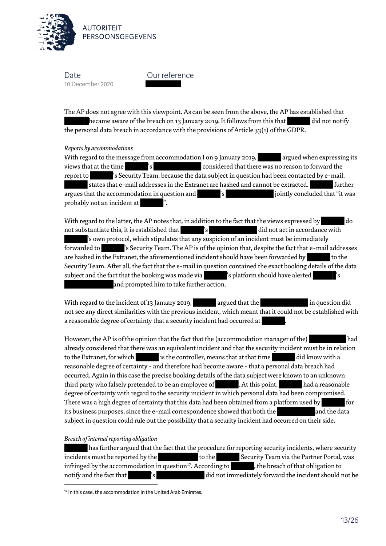

Our reference

The AP does not agree with this viewpoint. As can be seen from the above, the AP has established that became aware of the breach on 13 January 2019. It follows from this that did not notify the personal data breach in accordance with the provisions of Article 33(1) of the GDPR.

#### *Reports by accommodations*

With regard to the message from accommodation I on 9 January 2019, argued when expressing its views that at the time  $^{\prime}$  's considered that there was no reason to forward the report to 's Security Team, because the data subject in question had been contacted by e-mail. states that e-mail addresses in the Extranet are hashed and cannot be extracted. Further argues that the accommodation in question and  $\blacksquare$  's intervalse in its jointly concluded that "it was probably not an incident at ".

With regard to the latter, the AP notes that, in addition to the fact that the views expressed by do not substantiate this, it is established that  $\qquad \qquad$  's did not act in accordance with 's own protocol, which stipulates that any suspicion of an incident must be immediately forwarded to 's Security Team. The AP is of the opinion that, despite the fact that e-mail addresses are hashed in the Extranet, the aforementioned incident should have been forwarded by to the Security Team. After all, the fact that the e-mail in question contained the exact booking details of the data subject and the fact that the booking was made via 's platform should have alerted and prompted him to take further action.

With regard to the incident of 13 January 2019, argued that the induction did not see any direct similarities with the previous incident, which meant that it could not be established with a reasonable degree of certainty that a security incident had occurred at

However, the AP is of the opinion that the fact that the (accommodation manager of the) had already considered that there was an equivalent incident and that the security incident must be in relation to the Extranet, for which is the controller, means that at that time did know with a reasonable degree of certainty - and therefore had become aware - that a personal data breach had occurred. Again in this case the precise booking details of the data subject were known to an unknown third party who falsely pretended to be an employee of **the content of the content of the content** had a reasonable degree of certainty with regard to the security incident in which personal data had been compromised. There was a high degree of certainty that this data had been obtained from a platform used by for its business purposes, since the e-mail correspondence showed that both the and the data subject in question could rule out the possibility that a security incident had occurred on their side.

#### *Breach of internal reporting obligation*

 has further argued that the fact that the procedure for reporting security incidents, where security incidents must be reported by the to the Security Team via the Partner Portal, was infringed by the accommodation in question<sup>17</sup>. According to  $\blacksquare$ , the breach of that obligation to notify and the fact that 's did not immediately forward the incident should not be  $\overline{\phantom{0}}$ 

<sup>17</sup> In this case, the accommodation in the United Arab Emirates.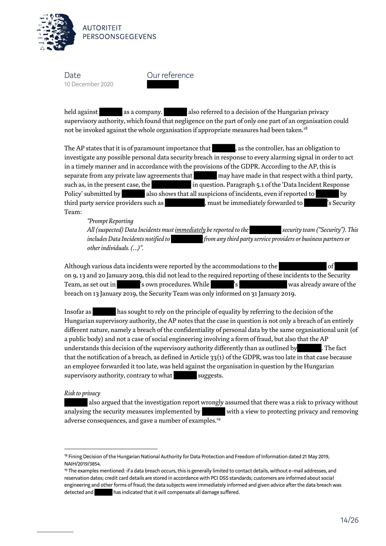

Our reference

held against as a company. also referred to a decision of the Hungarian privacy supervisory authority, which found that negligence on the part of only one part of an organisation could not be invoked against the whole organisation if appropriate measures had been taken.<sup>18</sup>

The AP states that it is of paramount importance that  $\qquad \qquad$ , as the controller, has an obligation to investigate any possible personal data security breach in response to every alarming signal in order to act in a timely manner and in accordance with the provisions of the GDPR. According to the AP, this is separate from any private law agreements that may have made in that respect with a third party, such as, in the present case, the in question. Paragraph 5.1 of the 'Data Incident Response Policy' submitted by also shows that all suspicions of incidents, even if reported to by third party service providers such as  $\qquad \qquad$  , must be immediately forwarded to  $\qquad \qquad$  's Security Team:

*"Prompt Reporting All (suspected) Data Incidents must immediately be reported to the security team ("Security"). This includes Data Incidents notified to from any third party service providers or business partners or other individuals. (…)".* 

Although various data incidents were reported by the accommodations to the on 9, 13 and 20 January 2019, this did not lead to the required reporting of these incidents to the Security Team, as set out in  $\blacksquare'$  is own procedures. While  $\blacksquare'$  s was already aware of the breach on 13 January 2019, the Security Team was only informed on 31 January 2019.

Insofar as has sought to rely on the principle of equality by referring to the decision of the Hungarian supervisory authority, the AP notes that the case in question is not only a breach of an entirely different nature, namely a breach of the confidentiality of personal data by the same organisational unit (of a public body) and not a case of social engineering involving a form of fraud, but also that the AP understands this decision of the supervisory authority differently than as outlined by . The fact that the notification of a breach, as defined in Article 33(1) of the GDPR, was too late in that case because an employee forwarded it too late, was held against the organisation in question by the Hungarian supervisory authority, contrary to what suggests.

#### *Risk to privacy*

 $\overline{\phantom{0}}$ 

 also argued that the investigation report wrongly assumed that there was a risk to privacy without analysing the security measures implemented by with a view to protecting privacy and removing adverse consequences, and gave a number of examples.<sup>19</sup>

<sup>&</sup>lt;sup>18</sup> Fining Decision of the Hungarian National Authority for Data Protection and Freedom of Information dated 21 May 2019, NAIH/2019/3854.

<sup>19</sup> The examples mentioned: if a data breach occurs, this is generally limited to contact details, without e-mail addresses, and reservation dates; credit card details are stored in accordance with PCI DSS standards; customers are informed about social engineering and other forms of fraud; the data subjects were immediately informed and given advice after the data breach was detected and **has indicated that it will compensate all damage suffered.**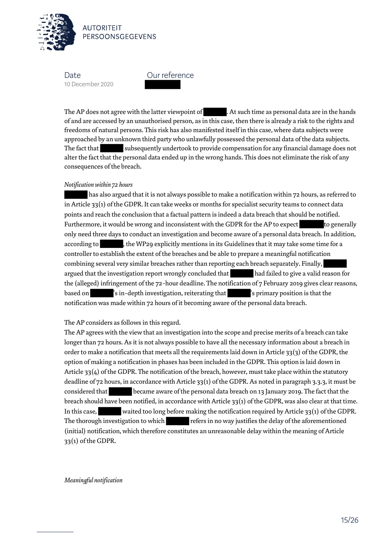

Our reference

The AP does not agree with the latter viewpoint of  $\qquad \qquad .$  At such time as personal data are in the hands of and are accessed by an unauthorised person, as in this case, then there is already a risk to the rights and freedoms of natural persons. This risk has also manifested itself in this case, where data subjects were approached by an unknown third party who unlawfully possessed the personal data of the data subjects. The fact that subsequently undertook to provide compensation for any financial damage does not alter the fact that the personal data ended up in the wrong hands. This does not eliminate the risk of any consequences of the breach.

#### *Notification within 72 hours*

 has also argued that it is not always possible to make a notification within 72 hours, as referred to in Article  $33(1)$  of the GDPR. It can take weeks or months for specialist security teams to connect data points and reach the conclusion that a factual pattern is indeed a data breach that should be notified. Furthermore, it would be wrong and inconsistent with the GDPR for the AP to expect to generally only need three days to conduct an investigation and become aware of a personal data breach. In addition, according to , the WP29 explicitly mentions in its Guidelines that it may take some time for a controller to establish the extent of the breaches and be able to prepare a meaningful notification combining several very similar breaches rather than reporting each breach separately. Finally, argued that the investigation report wrongly concluded that had failed to give a valid reason for the (alleged) infringement of the 72-hour deadline. The notification of 7 February 2019 gives clear reasons, based on 's in-depth investigation, reiterating that 's primary position is that the notification was made within 72 hours of it becoming aware of the personal data breach.

#### The AP considers as follows in this regard.

The AP agrees with the view that an investigation into the scope and precise merits of a breach can take longer than 72 hours. As it is not always possible to have all the necessary information about a breach in order to make a notification that meets all the requirements laid down in Article 33(3) of the GDPR, the option of making a notification in phases has been included in the GDPR. This option is laid down in Article 33(4) of the GDPR. The notification of the breach, however, must take place within the statutory deadline of 72 hours, in accordance with Article 33(1) of the GDPR. As noted in paragraph 3.3.3, it must be considered that became aware of the personal data breach on 13 January 2019. The fact that the breach should have been notified, in accordance with Article 33(1) of the GDPR, was also clear at that time. In this case, waited too long before making the notification required by Article 33(1) of the GDPR. The thorough investigation to which refers in no way justifies the delay of the aforementioned (initial) notification, which therefore constitutes an unreasonable delay within the meaning of Article 33(1) of the GDPR.

*Meaningful notification*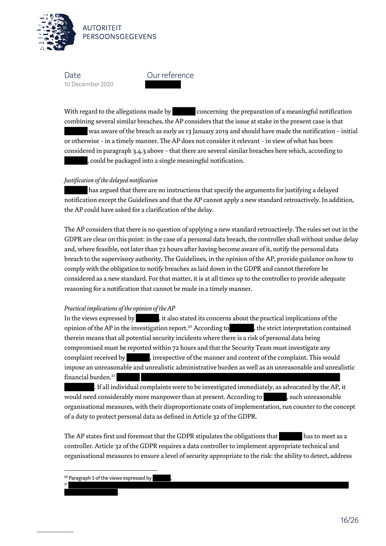

**AUTORITFIT** PERSOONSGEGEVENS

Date 10 December 2020

Our reference

With regard to the allegations made by concerning the preparation of a meaningful notification combining several similar breaches, the AP considers that the issue at stake in the present case is that

 was aware of the breach as early as 13 January 2019 and should have made the notification - initial or otherwise - in a timely manner. The AP does not consider it relevant - in view of what has been considered in paragraph 3.4.3 above - that there are several similar breaches here which, according to , could be packaged into a single meaningful notification.

#### *Justification of the delayed notification*

 has argued that there are no instructions that specify the arguments for justifying a delayed notification except the Guidelines and that the AP cannot apply a new standard retroactively. In addition, the AP could have asked for a clarification of the delay.

The AP considers that there is no question of applying a new standard retroactively. The rules set out in the GDPR are clear on this point: in the case of a personal data breach, the controller shall without undue delay and, where feasible, not later than 72 hours after having become aware of it, notify the personal data breach to the supervisory authority. The Guidelines, in the opinion of the AP, provide guidance on how to comply with the obligation to notify breaches as laid down in the GDPR and cannot therefore be considered as a new standard. For that matter, it is at all times up to the controller to provide adequate reasoning for a notification that cannot be made in a timely manner.

#### *Practical implications of the opinion of the AP*

In the views expressed by  $\qquad \qquad$  , it also stated its concerns about the practical implications of the opinion of the AP in the investigation report.<sup>20</sup> According to , the strict interpretation contained therein means that all potential security incidents where there is a risk of personal data being compromised must be reported within 72 hours and that the Security Team must investigate any complaint received by , irrespective of the manner and content of the complaint. This would impose an unreasonable and unrealistic administrative burden as well as an unreasonable and unrealistic financial burden.<sup>21</sup> 

. If all individual complaints were to be investigated immediately, as advocated by the AP, it would need considerably more manpower than at present. According to , such unreasonable organisational measures, with their disproportionate costs of implementation, run counter to the concept of a duty to protect personal data as defined in Article 32 of the GDPR.

The AP states first and foremost that the GDPR stipulates the obligations that has to meet as a controller. Article 32 of the GDPR requires a data controller to implement appropriate technical and organisational measures to ensure a level of security appropriate to the risk: the ability to detect, address

.

 $\overline{\phantom{0}}$ 

21

<sup>&</sup>lt;sup>20</sup> Paragraph 5 of the views expressed by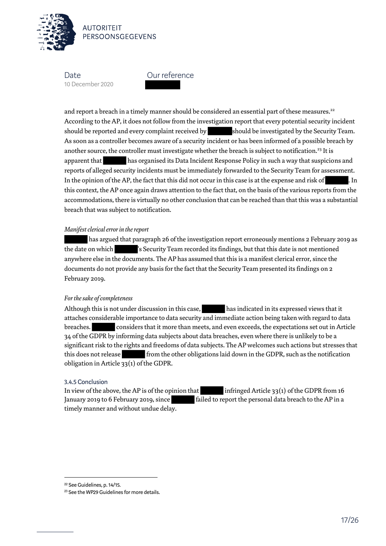

**AUTORITEIT** PERSOONSGEGEVENS

**Date** 10 December 2020



and report a breach in a timely manner should be considered an essential part of these measures.<sup>22</sup> According to the AP, it does not follow from the investigation report that every potential security incident should be reported and every complaint received by should be investigated by the Security Team. As soon as a controller becomes aware of a security incident or has been informed of a possible breach by another source, the controller must investigate whether the breach is subject to notification.<sup>23</sup> It is apparent that has organised its Data Incident Response Policy in such a way that suspicions and reports of alleged security incidents must be immediately forwarded to the Security Team for assessment. In the opinion of the AP, the fact that this did not occur in this case is at the expense and risk of . In this context, the AP once again draws attention to the fact that, on the basis of the various reports from the accommodations, there is virtually no other conclusion that can be reached than that this was a substantial breach that was subject to notification.

#### *Manifest clerical error in the report*

 has argued that paragraph 26 of the investigation report erroneously mentions 2 February 2019 as the date on which 's Security Team recorded its findings, but that this date is not mentioned anywhere else in the documents. The AP has assumed that this is a manifest clerical error, since the documents do not provide any basis for the fact that the Security Team presented its findings on 2 February 2019.

#### *For the sake of completeness*

Although this is not under discussion in this case, has indicated in its expressed views that it attaches considerable importance to data security and immediate action being taken with regard to data breaches. considers that it more than meets, and even exceeds, the expectations set out in Article 34 of the GDPR by informing data subjects about data breaches, even where there is unlikely to be a significant risk to the rights and freedoms of data subjects. The AP welcomes such actions but stresses that this does not release from the other obligations laid down in the GDPR, such as the notification obligation in Article 33(1) of the GDPR.

#### 3.4.5 Conclusion

In view of the above, the AP is of the opinion that infringed Article 33(1) of the GDPR from 16 January 2019 to 6 February 2019, since failed to report the personal data breach to the AP in a timely manner and without undue delay.

l

<sup>22</sup> See Guidelines, p. 14/15.

<sup>23</sup> See the WP29 Guidelines for more details.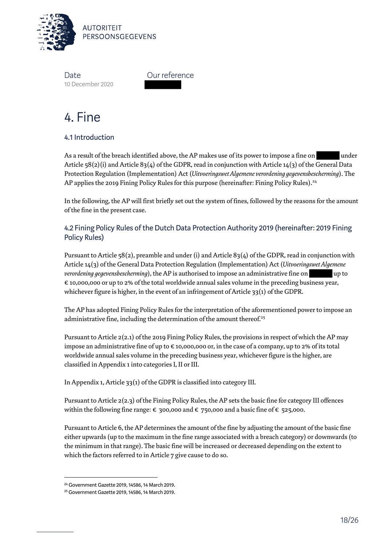

Our reference

# 4. Fine

# 4.1 Introduction

As a result of the breach identified above, the AP makes use of its power to impose a fine on under Article 58(2)(i) and Article 83(4) of the GDPR, read in conjunction with Article 14(3) of the General Data Protection Regulation (Implementation) Act (*Uitvoeringswet Algemene verordening gegevensbescherming*). The AP applies the 2019 Fining Policy Rules for this purpose (hereinafter: Fining Policy Rules).<sup>24</sup>

In the following, the AP will first briefly set out the system of fines, followed by the reasons for the amount of the fine in the present case.

4.2 Fining Policy Rules of the Dutch Data Protection Authority 2019 (hereinafter: 2019 Fining Policy Rules)

Pursuant to Article 58(2), preamble and under (i) and Article 83(4) of the GDPR, read in conjunction with Article 14(3) of the General Data Protection Regulation (Implementation) Act (*Uitvoeringswet Algemene verordening gegevensbescherming*), the AP is authorised to impose an administrative fine on up to € 10,000,000 or up to 2% of the total worldwide annual sales volume in the preceding business year, whichever figure is higher, in the event of an infringement of Article 33(1) of the GDPR.

The AP has adopted Fining Policy Rules for the interpretation of the aforementioned power to impose an administrative fine, including the determination of the amount thereof.<sup>25</sup>

Pursuant to Article 2(2.1) of the 2019 Fining Policy Rules, the provisions in respect of which the AP may impose an administrative fine of up to € 10,000,000 or, in the case of a company, up to 2% of its total worldwide annual sales volume in the preceding business year, whichever figure is the higher, are classified in Appendix 1 into categories I, II or III.

In Appendix 1, Article 33(1) of the GDPR is classified into category III.

Pursuant to Article 2(2.3) of the Fining Policy Rules, the AP sets the basic fine for category III offences within the following fine range:  $\epsilon$  300,000 and  $\epsilon$  750,000 and a basic fine of  $\epsilon$  525,000.

Pursuant to Article 6, the AP determines the amount of the fine by adjusting the amount of the basic fine either upwards (up to the maximum in the fine range associated with a breach category) or downwards (to the minimum in that range). The basic fine will be increased or decreased depending on the extent to which the factors referred to in Article 7 give cause to do so.

l

<sup>24</sup> Government Gazette 2019, 14586, 14 March 2019.

<sup>25</sup> Government Gazette 2019, 14586, 14 March 2019.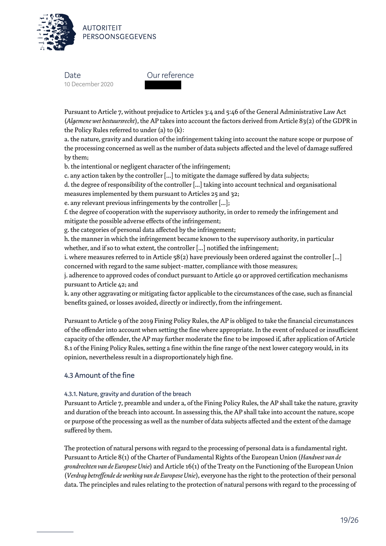

Our reference

Pursuant to Article 7, without prejudice to Articles 3:4 and 5:46 of the General Administrative Law Act (*Algemene wet bestuursrecht*), the AP takes into account the factors derived from Article 83(2) of the GDPR in the Policy Rules referred to under (a) to (k):

a. the nature, gravity and duration of the infringement taking into account the nature scope or purpose of the processing concerned as well as the number of data subjects affected and the level of damage suffered by them;

b. the intentional or negligent character of the infringement;

c. any action taken by the controller [...] to mitigate the damage suffered by data subjects;

d. the degree of responsibility of the controller [...] taking into account technical and organisational measures implemented by them pursuant to Articles 25 and 32;

e. any relevant previous infringements by the controller [...];

f. the degree of cooperation with the supervisory authority, in order to remedy the infringement and mitigate the possible adverse effects of the infringement;

g. the categories of personal data affected by the infringement;

h. the manner in which the infringement became known to the supervisory authority, in particular whether, and if so to what extent, the controller [...] notified the infringement;

i. where measures referred to in Article 58(2) have previously been ordered against the controller [...] concerned with regard to the same subject-matter, compliance with those measures;

j. adherence to approved codes of conduct pursuant to Article 40 or approved certification mechanisms pursuant to Article 42; and

k. any other aggravating or mitigating factor applicable to the circumstances of the case, such as financial benefits gained, or losses avoided, directly or indirectly, from the infringement.

Pursuant to Article 9 of the 2019 Fining Policy Rules, the AP is obliged to take the financial circumstances of the offender into account when setting the fine where appropriate. In the event of reduced or insufficient capacity of the offender, the AP may further moderate the fine to be imposed if, after application of Article 8.1 of the Fining Policy Rules, setting a fine within the fine range of the next lower category would, in its opinion, nevertheless result in a disproportionately high fine.

# 4.3 Amount of the fine

#### 4.3.1. Nature, gravity and duration of the breach

Pursuant to Article 7, preamble and under a, of the Fining Policy Rules, the AP shall take the nature, gravity and duration of the breach into account. In assessing this, the AP shall take into account the nature, scope or purpose of the processing as well as the number of data subjects affected and the extent of the damage suffered by them.

The protection of natural persons with regard to the processing of personal data is a fundamental right. Pursuant to Article 8(1) of the Charter of Fundamental Rights of the European Union (*Handvest van de grondrechten van de Europese Unie*) and Article 16(1) of the Treaty on the Functioning of the European Union (*Verdrag betreffende de werking van de Europese Unie*), everyone has the right to the protection of their personal data. The principles and rules relating to the protection of natural persons with regard to the processing of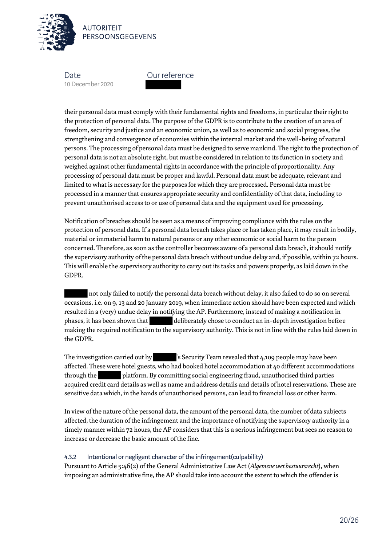

**AUTORITFIT** PERSOONSGEGEVENS

**Date** 10 December 2020

Our reference

their personal data must comply with their fundamental rights and freedoms, in particular their right to the protection of personal data. The purpose of the GDPR is to contribute to the creation of an area of freedom, security and justice and an economic union, as well as to economic and social progress, the strengthening and convergence of economies within the internal market and the well-being of natural persons. The processing of personal data must be designed to serve mankind. The right to the protection of personal data is not an absolute right, but must be considered in relation to its function in society and weighed against other fundamental rights in accordance with the principle of proportionality. Any processing of personal data must be proper and lawful. Personal data must be adequate, relevant and limited to what is necessary for the purposes for which they are processed. Personal data must be processed in a manner that ensures appropriate security and confidentiality of that data, including to prevent unauthorised access to or use of personal data and the equipment used for processing.

Notification of breaches should be seen as a means of improving compliance with the rules on the protection of personal data. If a personal data breach takes place or has taken place, it may result in bodily, material or immaterial harm to natural persons or any other economic or social harm to the person concerned. Therefore, as soon as the controller becomes aware of a personal data breach, it should notify the supervisory authority of the personal data breach without undue delay and, if possible, within 72 hours. This will enable the supervisory authority to carry out its tasks and powers properly, as laid down in the GDPR.

 not only failed to notify the personal data breach without delay, it also failed to do so on several occasions, i.e. on 9, 13 and 20 January 2019, when immediate action should have been expected and which resulted in a (very) undue delay in notifying the AP. Furthermore, instead of making a notification in phases, it has been shown that deliberately chose to conduct an in-depth investigation before making the required notification to the supervisory authority. This is not in line with the rules laid down in the GDPR.

The investigation carried out by 's Security Team revealed that 4,109 people may have been affected. These were hotel guests, who had booked hotel accommodation at 40 different accommodations through the platform. By committing social engineering fraud, unauthorised third parties acquired credit card details as well as name and address details and details of hotel reservations. These are sensitive data which, in the hands of unauthorised persons, can lead to financial loss or other harm.

In view of the nature of the personal data, the amount of the personal data, the number of data subjects affected, the duration of the infringement and the importance of notifying the supervisory authority in a timely manner within 72 hours, the AP considers that this is a serious infringement but sees no reason to increase or decrease the basic amount of the fine.

#### 4.3.2 Intentional or negligent character of the infringement(culpability)

Pursuant to Article 5:46(2) of the General Administrative Law Act (*Algemene wet bestuursrecht*), when imposing an administrative fine, the AP should take into account the extent to which the offender is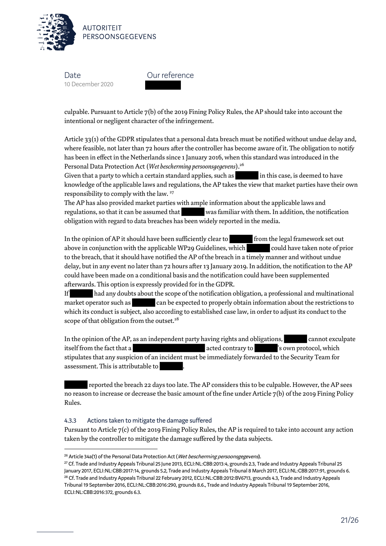

Our reference

culpable. Pursuant to Article 7(b) of the 2019 Fining Policy Rules, the AP should take into account the intentional or negligent character of the infringement.

Article 33(1) of the GDPR stipulates that a personal data breach must be notified without undue delay and, where feasible, not later than 72 hours after the controller has become aware of it. The obligation to notify has been in effect in the Netherlands since 1 January 2016, when this standard was introduced in the Personal Data Protection Act (*Wet bescherming persoonsgegevens*).<sup>26</sup>

Given that a party to which a certain standard applies, such as in this case, is deemed to have knowledge of the applicable laws and regulations, the AP takes the view that market parties have their own responsibility to comply with the law. <sup>27</sup>

The AP has also provided market parties with ample information about the applicable laws and regulations, so that it can be assumed that was familiar with them. In addition, the notification obligation with regard to data breaches has been widely reported in the media.

In the opinion of AP it should have been sufficiently clear to from the legal framework set out above in conjunction with the applicable WP29 Guidelines, which could have taken note of prior to the breach, that it should have notified the AP of the breach in a timely manner and without undue delay, but in any event no later than 72 hours after 13 January 2019. In addition, the notification to the AP could have been made on a conditional basis and the notification could have been supplemented afterwards. This option is expressly provided for in the GDPR.

If had any doubts about the scope of the notification obligation, a professional and multinational market operator such as can be expected to properly obtain information about the restrictions to which its conduct is subject, also according to established case law, in order to adjust its conduct to the scope of that obligation from the outset.<sup>28</sup>

In the opinion of the AP, as an independent party having rights and obligations, cannot exculpate itself from the fact that a state of the state of the state of the state of the state of the state of the stat stipulates that any suspicion of an incident must be immediately forwarded to the Security Team for assessment. This is attributable to

 reported the breach 22 days too late. The AP considers this to be culpable. However, the AP sees no reason to increase or decrease the basic amount of the fine under Article 7(b) of the 2019 Fining Policy Rules.

#### 4.3.3 Actions taken to mitigate the damage suffered

 $\overline{\phantom{0}}$ 

Pursuant to Article 7(c) of the 2019 Fining Policy Rules, the AP is required to take into account any action taken by the controller to mitigate the damage suffered by the data subjects.

<sup>&</sup>lt;sup>26</sup> Article 34a(1) of the Personal Data Protection Act (Wet bescherming persoonsgegevens).

<sup>27</sup> Cf. Trade and Industry Appeals Tribunal 25 June 2013, ECLI:NL:CBB:2013:4, grounds 2.3, Trade and Industry Appeals Tribunal 25 January 2017, ECLI:NL:CBB:2017:14, grounds 5.2, Trade and Industry Appeals Tribunal 8 March 2017, ECLI:NL:CBB:2017:91, grounds 6. <sup>28</sup> Cf. Trade and Industry Appeals Tribunal 22 February 2012, ECLI:NL:CBB:2012:BV6713, grounds 4.3, Trade and Industry Appeals Tribunal 19 September 2016, ECLI:NL:CBB:2016:290, grounds 8.6., Trade and Industry Appeals Tribunal 19 September 2016, ECLI:NL:CBB:2016:372, grounds 6.3.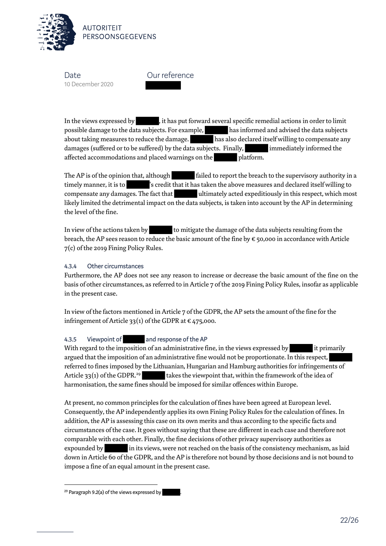

Our reference

In the views expressed by , it has put forward several specific remedial actions in order to limit possible damage to the data subjects. For example, has informed and advised the data subjects about taking measures to reduce the damage. has also declared itself willing to compensate any damages (suffered or to be suffered) by the data subjects. Finally, immediately informed the affected accommodations and placed warnings on the platform.

The AP is of the opinion that, although failed to report the breach to the supervisory authority in a timely manner, it is to 's credit that it has taken the above measures and declared itself willing to compensate any damages. The fact that ultimately acted expeditiously in this respect, which most likely limited the detrimental impact on the data subjects, is taken into account by the AP in determining the level of the fine.

In view of the actions taken by  $\begin{bmatrix} 1 & 1 \\ 2 & 3 \end{bmatrix}$  to mitigate the damage of the data subjects resulting from the breach, the AP sees reason to reduce the basic amount of the fine by € 50,000 in accordance with Article 7(c) of the 2019 Fining Policy Rules.

#### 4.3.4 Other circumstances

Furthermore, the AP does not see any reason to increase or decrease the basic amount of the fine on the basis of other circumstances, as referred to in Article 7 of the 2019 Fining Policy Rules, insofar as applicable in the present case.

In view of the factors mentioned in Article 7 of the GDPR, the AP sets the amount of the fine for the infringement of Article 33(1) of the GDPR at  $\epsilon$  475,000.

#### 4.3.5 Viewpoint of and response of the AP

With regard to the imposition of an administrative fine, in the views expressed by it primarily argued that the imposition of an administrative fine would not be proportionate. In this respect, referred to fines imposed by the Lithuanian, Hungarian and Hamburg authorities for infringements of Article 33(1) of the GDPR.<sup>29</sup> takes the viewpoint that, within the framework of the idea of harmonisation, the same fines should be imposed for similar offences within Europe.

At present, no common principles for the calculation of fines have been agreed at European level. Consequently, the AP independently applies its own Fining Policy Rules for the calculation of fines. In addition, the AP is assessing this case on its own merits and thus according to the specific facts and circumstances of the case. It goes without saying that these are different in each case and therefore not comparable with each other. Finally, the fine decisions of other privacy supervisory authorities as expounded by in its views, were not reached on the basis of the consistency mechanism, as laid down in Article 60 of the GDPR, and the AP is therefore not bound by those decisions and is not bound to impose a fine of an equal amount in the present case.

 $\overline{\phantom{0}}$ 

<sup>&</sup>lt;sup>29</sup> Paragraph 9.2(a) of the views expressed by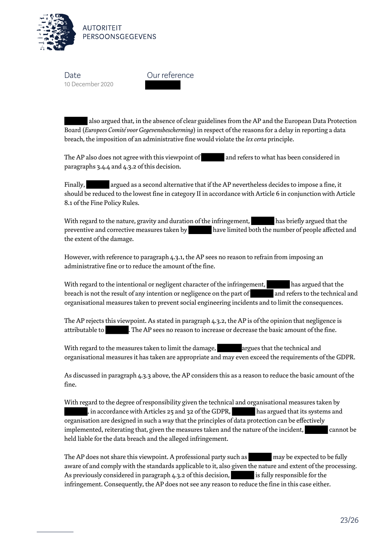

Our reference

 also argued that, in the absence of clear guidelines from the AP and the European Data Protection Board (*Europees Comité voor Gegevensbescherming*) in respect of the reasons for a delay in reporting a data breach, the imposition of an administrative fine would violate the *lex certa* principle.

The AP also does not agree with this viewpoint of and refers to what has been considered in paragraphs 3.4.4 and 4.3.2 of this decision.

Finally, argued as a second alternative that if the AP nevertheless decides to impose a fine, it should be reduced to the lowest fine in category II in accordance with Article 6 in conjunction with Article 8.1 of the Fine Policy Rules.

With regard to the nature, gravity and duration of the infringement, has briefly argued that the preventive and corrective measures taken by have limited both the number of people affected and the extent of the damage.

However, with reference to paragraph 4.3.1, the AP sees no reason to refrain from imposing an administrative fine or to reduce the amount of the fine.

With regard to the intentional or negligent character of the infringement, has argued that the breach is not the result of any intention or negligence on the part of and refers to the technical and organisational measures taken to prevent social engineering incidents and to limit the consequences.

The AP rejects this viewpoint. As stated in paragraph 4.3.2, the AP is of the opinion that negligence is attributable to . The AP sees no reason to increase or decrease the basic amount of the fine.

With regard to the measures taken to limit the damage, and argues that the technical and organisational measures it has taken are appropriate and may even exceed the requirements of the GDPR.

As discussed in paragraph 4.3.3 above, the AP considers this as a reason to reduce the basic amount of the fine.

With regard to the degree of responsibility given the technical and organisational measures taken by , in accordance with Articles 25 and 32 of the GDPR, has argued that its systems and organisation are designed in such a way that the principles of data protection can be effectively implemented, reiterating that, given the measures taken and the nature of the incident, cannot be held liable for the data breach and the alleged infringement.

The AP does not share this viewpoint. A professional party such as may be expected to be fully aware of and comply with the standards applicable to it, also given the nature and extent of the processing. As previously considered in paragraph 4.3.2 of this decision, is fully responsible for the infringement. Consequently, the AP does not see any reason to reduce the fine in this case either.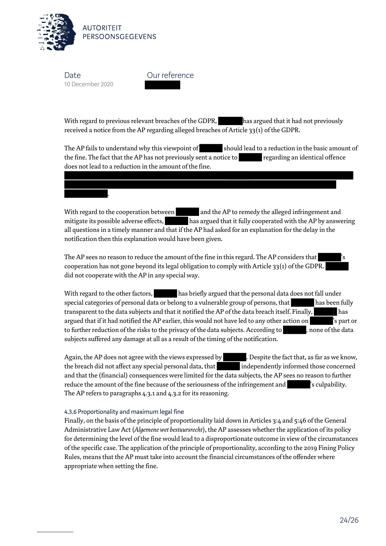

.

Our reference

With regard to previous relevant breaches of the GDPR, has argued that it had not previously received a notice from the AP regarding alleged breaches of Article 33(1) of the GDPR.

The AP fails to understand why this viewpoint of should lead to a reduction in the basic amount of the fine. The fact that the AP has not previously sent a notice to regarding an identical offence does not lead to a reduction in the amount of the fine.

With regard to the cooperation between and the AP to remedy the alleged infringement and mitigate its possible adverse effects, has argued that it fully cooperated with the AP by answering all questions in a timely manner and that if the AP had asked for an explanation for the delay in the notification then this explanation would have been given.

The AP sees no reason to reduce the amount of the fine in this regard. The AP considers that cooperation has not gone beyond its legal obligation to comply with Article 33(1) of the GDPR. did not cooperate with the AP in any special way.

With regard to the other factors, has briefly argued that the personal data does not fall under special categories of personal data or belong to a vulnerable group of persons, that has been fully transparent to the data subjects and that it notified the AP of the data breach itself. Finally, has argued that if it had notified the AP earlier, this would not have led to any other action on 's part or to further reduction of the risks to the privacy of the data subjects. According to , none of the data subjects suffered any damage at all as a result of the timing of the notification.

Again, the AP does not agree with the views expressed by **.** Despite the fact that, as far as we know, the breach did not affect any special personal data, that independently informed those concerned and that the (financial) consequences were limited for the data subjects, the AP sees no reason to further reduce the amount of the fine because of the seriousness of the infringement and search post sculpability. The AP refers to paragraphs 4.3.1 and 4.3.2 for its reasoning.

#### 4.3.6 Proportionality and maximum legal fine

Finally, on the basis of the principle of proportionality laid down in Articles 3:4 and 5:46 of the General Administrative Law Act (*Algemene wet bestuursrecht*), the AP assesses whether the application of its policy for determining the level of the fine would lead to a disproportionate outcome in view of the circumstances of the specific case. The application of the principle of proportionality, according to the 2019 Fining Policy Rules, means that the AP must take into account the financial circumstances of the offender where appropriate when setting the fine.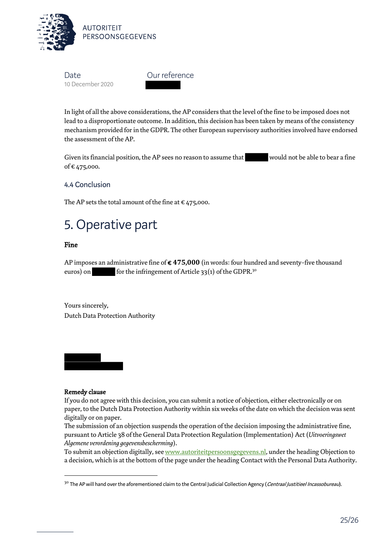

Our reference

In light of all the above considerations, the AP considers that the level of the fine to be imposed does not lead to a disproportionate outcome. In addition, this decision has been taken by means of the consistency mechanism provided for in the GDPR. The other European supervisory authorities involved have endorsed the assessment of the AP.

Given its financial position, the AP sees no reason to assume that would not be able to bear a fine of € 475,000.

4.4 Conclusion

The AP sets the total amount of the fine at  $\epsilon$  475,000.

# 5. Operative part

#### Fine

AP imposes an administrative fine of € **475,000** (in words: four hundred and seventy-five thousand euros) on for the infringement of Article 33(1) of the GDPR.<sup>30</sup>

Yours sincerely, Dutch Data Protection Authority

Remedy clause

l

If you do not agree with this decision, you can submit a notice of objection, either electronically or on paper, to the Dutch Data Protection Authority within six weeks of the date on which the decision was sent digitally or on paper.

The submission of an objection suspends the operation of the decision imposing the administrative fine, pursuant to Article 38 of the General Data Protection Regulation (Implementation) Act (*Uitvoeringswet Algemene verordening gegevensbescherming*).

To submit an objection digitally, se[e www.autoriteitpersoonsgegevens.nl,](http://www.autoriteitpersoonsgegevens.nl/) under the heading Objection to a decision, which is at the bottom of the page under the heading Contact with the Personal Data Authority.

<sup>&</sup>lt;sup>30</sup> The AP will hand over the aforementioned claim to the Central Judicial Collection Agency (*Centraal Justitieel Incassobureau*).